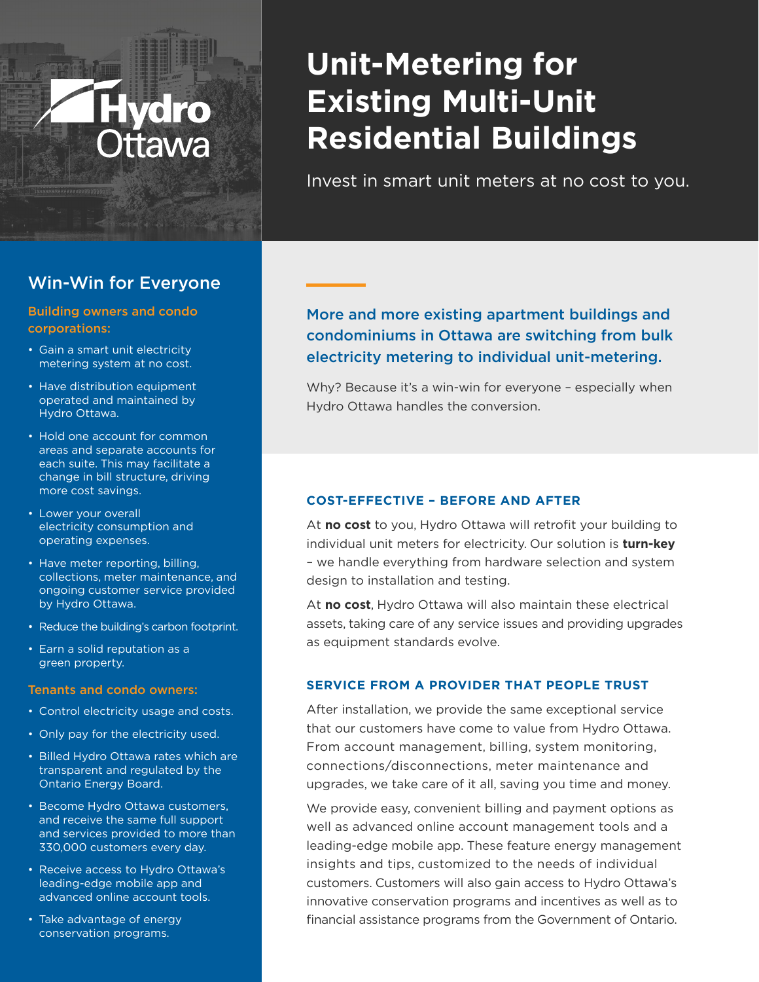# **Unit-Metering for Existing Multi-Unit Residential Buildings**

Invest in smart unit meters at no cost to you.

## Win-Win for Everyone

#### Building owners and condo corporations:

- Gain a smart unit electricity metering system at no cost.
- Have distribution equipment operated and maintained by Hydro Ottawa.
- Hold one account for common areas and separate accounts for each suite. This may facilitate a change in bill structure, driving more cost savings.
- Lower your overall electricity consumption and operating expenses.
- Have meter reporting, billing, collections, meter maintenance, and ongoing customer service provided by Hydro Ottawa.
- Reduce the building's carbon footprint.
- Earn a solid reputation as a green property.

#### Tenants and condo owners:

- Control electricity usage and costs.
- Only pay for the electricity used.
- Billed Hydro Ottawa rates which are transparent and regulated by the Ontario Energy Board.
- Become Hydro Ottawa customers, and receive the same full support and services provided to more than 330,000 customers every day.
- Receive access to Hydro Ottawa's leading-edge mobile app and advanced online account tools.
- Take advantage of energy conservation programs.

## More and more existing apartment buildings and condominiums in Ottawa are switching from bulk electricity metering to individual unit-metering.

Why? Because it's a win-win for everyone – especially when Hydro Ottawa handles the conversion.

#### **COST-EFFECTIVE – BEFORE AND AFTER**

At **no cost** to you, Hydro Ottawa will retrofit your building to individual unit meters for electricity. Our solution is **turn-key** – we handle everything from hardware selection and system design to installation and testing.

At **no cost**, Hydro Ottawa will also maintain these electrical assets, taking care of any service issues and providing upgrades as equipment standards evolve.

#### **SERVICE FROM A PROVIDER THAT PEOPLE TRUST**

After installation, we provide the same exceptional service that our customers have come to value from Hydro Ottawa. From account management, billing, system monitoring, connections/disconnections, meter maintenance and upgrades, we take care of it all, saving you time and money.

We provide easy, convenient billing and payment options as well as advanced online account management tools and a leading-edge mobile app. These feature energy management insights and tips, customized to the needs of individual customers. Customers will also gain access to Hydro Ottawa's innovative conservation programs and incentives as well as to financial assistance programs from the Government of Ontario.